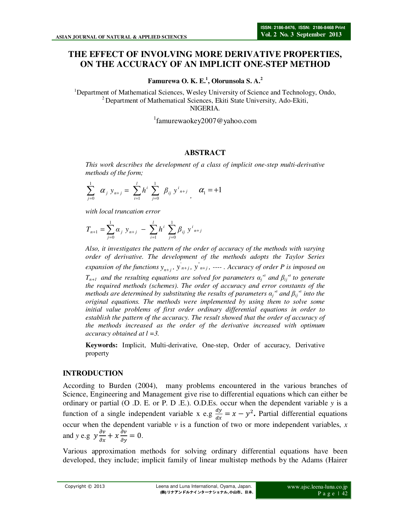# **THE EFFECT OF INVOLVING MORE DERIVATIVE PROPERTIES,**

## **ON THE ACCURACY OF AN IMPLICIT ONE-STEP METHOD**

**Famurewa O. K. E.<sup>1</sup> , Olorunsola S. A.<sup>2</sup>**

<sup>1</sup>Department of Mathematical Sciences, Wesley University of Science and Technology, Ondo,  $2^{2}$  Department of Mathematical Sciences, Ekiti State University, Ado-Ekiti, NIGERIA.

1 famurewaokey2007@yahoo.com

#### **ABSTRACT**

*This work describes the development of a class of implicit one-step multi-derivative methods of the form;* 

$$
\sum_{j=0}^{1} \alpha_{j} y_{n+j} = \sum_{i=1}^{l} h^{i} \sum_{j=0}^{1} \beta_{ij} y^{i}_{n+j}, \alpha_{1} = +1
$$

*with local truncation error* 

$$
T_{n+1} = \sum_{j=0}^{1} \alpha_j y_{n+j} - \sum_{i=1}^{l} h^i \sum_{j=0}^{1} \beta_{ij} y^{i_{n+j}}
$$

*Also, it investigates the pattern of the order of accuracy of the methods with varying order of derivative. The development of the methods adopts the Taylor Series expansion of the functions*  $y_{n+j}$ ,  $y_{n+j}$ ,  $y_{n+j}$ ,  $---$ . Accuracy of order P is imposed on *T*<sub>*n+1</sub> and the resulting equations are solved for parameters*  $\alpha_j$ *<sup><i>s*</sup> *and*  $\beta_{ij}$ <sup>*s*</sup> *to generate*</sub> *the required methods (schemes). The order of accuracy and error constants of the methods are determined by substituting the results of parameters*  $a_j$ *<sup><i>s*</sup> and  $\beta_{ij}$ <sup>*s*</sup> into the *original equations. The methods were implemented by using them to solve some initial value problems of first order ordinary differential equations in order to establish the pattern of the accuracy. The result showed that the order of accuracy of the methods increased as the order of the derivative increased with optimum accuracy obtained at l =3.*

**Keywords:** Implicit, Multi-derivative, One-step, Order of accuracy, Derivative property

#### **INTRODUCTION**

According to Burden (2004), many problems encountered in the various branches of Science, Engineering and Management give rise to differential equations which can either be ordinary or partial (O .D. E. or P. D .E.). O.D.Es. occur when the dependent variable *y* is a function of a single independent variable x e.g  $\frac{dy}{dx} = x - y^2$ . Partial differential equations occur when the dependent variable *v* is a function of two or more independent variables, *x* and *y* e.g  $y \frac{\partial v}{\partial x} + x \frac{\partial v}{\partial y} = 0$ .

Various approximation methods for solving ordinary differential equations have been developed, they include; implicit family of linear multistep methods by the Adams (Hairer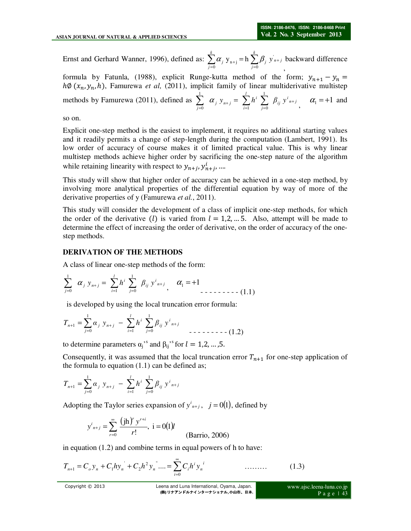Ernst and Gerhard Wanner, 1996), defined as:  $\sum_{i=1}^{k} \alpha_i y_{n+i} = h \sum_{i=1}^{k} \beta_i y_{n+j}$  $\sum\limits_{j=0}^{\prime}$ *k*  $\sum_{j=0}^{\infty} a_j y_{n+j} = h \sum_{j=0}^{\infty} \beta_j y_{n+j}$  $\sum_{j=0}^{k} \alpha_j y_{n+j} = h \sum_{j=0}^{k} \beta_j y_j$  $\sum_{j=0}^{\infty}$   $\alpha_j$  y n+j  $\sum_{j=0}$  $\alpha_i$  y<sub>n+i</sub> = h  $\sum \beta_i$ , backward difference

formula by Fatunla, (1988), explicit Runge-kutta method of the form;  $y_{n+1} - y_n =$  $h\emptyset$  ( $x_n, y_n, h$ ), Famurewa *et al*, (2011), implicit family of linear multiderivative multistep methods by Famurewa (2011), defined as  $\sum_{i} \alpha_i y_{n+i} = \sum_{i} h^i \sum_{i} \beta_{i} y_{n+i}^i$  $\sum_{j=0}$  **a**<sub>j</sub>  $y_{n+j}$   $\sum_{i=1}$  **i**  $\sum_{j=0}$  *P*<sub>ij</sub> *l i*  $\alpha_j$   $y_{n+j} = \sum h^i \sum \beta_{ij} y^i_{n+j}$  $\sum_{j=0}^1 \alpha_j y_{n+j} = \sum_{i=1}^l h^i \sum_{j=0}^1$  $\boldsymbol{0}$ 1 0  $i=1$ α '  $\alpha_1 = +1$  and

so on.

Explicit one-step method is the easiest to implement, it requires no additional starting values and it readily permits a change of step-length during the computation (Lambert, 1991). Its low order of accuracy of course makes it of limited practical value. This is why linear multistep methods achieve higher order by sacrificing the one-step nature of the algorithm while retaining linearity with respect to  $y_{n+j}$ ,  $y_{n+j}^i$ , ...

This study will show that higher order of accuracy can be achieved in a one-step method, by involving more analytical properties of the differential equation by way of more of the derivative properties of y (Famurewa *et al.*, 2011).

This study will consider the development of a class of implicit one-step methods, for which the order of the derivative (*l*) is varied from  $l = 1, 2, ...$  5. Also, attempt will be made to determine the effect of increasing the order of derivative, on the order of accuracy of the onestep methods.

### **DERIVATION OF THE METHODS**

A class of linear one-step methods of the form:

$$
\sum_{j=0}^{1} \alpha_j y_{n+j} = \sum_{i=1}^{l} h^i \sum_{j=0}^{1} \beta_{ij} y^{i_{n+j}}, \alpha_1 = +1
$$

is developed by using the local truncation error formula:

$$
T_{n+1} = \sum_{j=0}^{1} \alpha_j y_{n+j} - \sum_{i=1}^{l} h^i \sum_{j=0}^{1} \beta_{ij} y^{i_{n+j}}
$$

to determine parameters  $\alpha_j$ <sup>s</sup> and  $\beta_{ij}$ <sup>s</sup> for  $l = 1, 2, ..., 5$ .

Consequently, it was assumed that the local truncation error  $T_{n+1}$  for one-step application of the formula to equation  $(1.1)$  can be defined as;

$$
T_{n+1} = \sum_{j=0}^{1} \alpha_j y_{n+j} - \sum_{i=1}^{l} h^i \sum_{j=0}^{1} \beta_{ij} y_{n+j}
$$

Adopting the Taylor series expansion of  $y^{i_{n+j}}$ ,  $j = 0(1)$ , defined by

$$
y^{i}_{n+j} = \sum_{r=0}^{\infty} \frac{(\text{jh})^r y^{r+i}}{r!}, \ i = 0 \text{ (1)}
$$
 (Barrio, 2006)

in equation (1.2) and combine terms in equal powers of h to have:

$$
T_{n+1} = C_o y_n + C_1 h y_n + C_2 h^2 y_n \dots = \sum_{i=0}^{\infty} C_i h^i y_n \dots \dots \dots \tag{1.3}
$$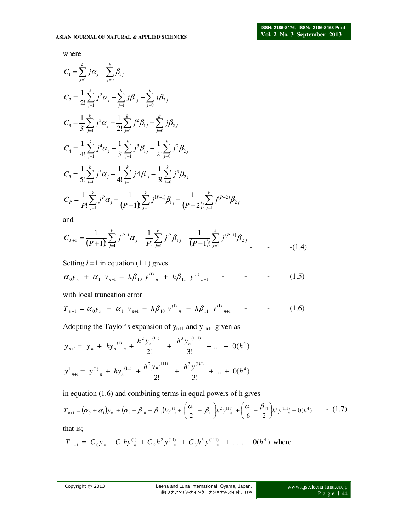where

$$
C_{1} = \sum_{j=1}^{k} j \alpha_{j} - \sum_{j=0}^{k} \beta_{1j}
$$
  
\n
$$
C_{2} = \frac{1}{2!} \sum_{j=1}^{k} j^{2} \alpha_{j} - \sum_{j=1}^{k} j \beta_{1j} - \sum_{j=0}^{k} j \beta_{2j}
$$
  
\n
$$
C_{3} = \frac{1}{3!} \sum_{j=1}^{k} j^{3} \alpha_{j} - \frac{1}{2!} \sum_{j=1}^{k} j^{2} \beta_{1j} - \sum_{j=0}^{k} j \beta_{2j}
$$
  
\n
$$
C_{4} = \frac{1}{4!} \sum_{j=1}^{k} j^{4} \alpha_{j} - \frac{1}{3!} \sum_{j=1}^{k} j^{3} \beta_{1j} - \frac{1}{2!} \sum_{j=0}^{k} j^{2} \beta_{2j}
$$
  
\n
$$
C_{5} = \frac{1}{5!} \sum_{j=1}^{k} j^{5} \alpha_{j} - \frac{1}{4!} \sum_{j=1}^{k} j^{4} \beta_{1j} - \frac{1}{3!} \sum_{j=0}^{k} j^{3} \beta_{2j}
$$
  
\n
$$
C_{P} = \frac{1}{P!} \sum_{j=1}^{k} j^{P} \alpha_{j} - \frac{1}{(P-1)!} \sum_{j=1}^{k} j^{(P-1)} \beta_{1j} - \frac{1}{(P-2)!} \sum_{j=1}^{k} j^{(P-2)} \beta_{2j}
$$

and

$$
C_{P+1} = \frac{1}{(P+1)!} \sum_{j=1}^{k} j^{P+1} \alpha_j - \frac{1}{P!} \sum_{j=1}^{k} j^P \beta_{1j} - \frac{1}{(P-1)!} \sum_{j=1}^{k} j^{(P-1)} \beta_{2j} \tag{1.4}
$$

Setting  $l = 1$  in equation (1.1) gives

$$
\alpha_0 y_n + \alpha_1 y_{n+1} = h \beta_{10} y^{(1)}_{n} + h \beta_{11} y^{(1)}_{n+1} \qquad (1.5)
$$

with local truncation error

$$
T_{n+1} = \alpha_0 y_n + \alpha_1 y_{n+1} - h \beta_{10} y^{(1)}_{n} - h \beta_{11} y^{(1)}_{n+1} \qquad (1.6)
$$

Adopting the Taylor's expansion of  $y_{n+1}$  and  $y_{n+1}^1$  given as

$$
y_{n+1} = y_n + hy_n^{(1)} + \frac{h^2 y_n^{(11)}}{2!} + \frac{h^3 y_n^{(111)}}{3!} + \dots + 0(h^4)
$$
  

$$
y_{n+1}^1 = y_{n+1}^{(1)} + hy_n^{(11)} + \frac{h^2 y_n^{(111)}}{2!} + \frac{h^3 y_n^{(11)}}{3!} + \dots + 0(h^4)
$$

in equation (1.6) and combining terms in equal powers of h gives

$$
T_{n+1} = (\alpha_0 + \alpha_1) y_n + (\alpha_1 - \beta_{10} - \beta_{11}) h y_n^{(1)} + \left(\frac{\alpha_1}{2} - \beta_{11}\right) h^2 y_n^{(1)} + \left(\frac{\alpha_1}{6} - \frac{\beta_{11}}{2}\right) h^3 y_n^{(11)} + O(h^4) \qquad (1.7)
$$

that is;

$$
T_{n+1} = C_0 y_n + C_1 h y_n^{(1)} + C_2 h^2 y_n^{(1)} + C_3 h^3 y_n^{(11)} + \ldots + 0(h^4)
$$
 where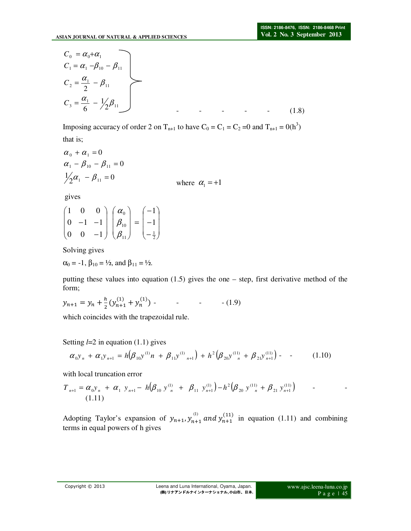$$
C_0 = \alpha_0 + \alpha_1
$$
  
\n
$$
C_1 = \alpha_1 - \beta_{10} - \beta_{11}
$$
  
\n
$$
C_2 = \frac{\alpha_1}{2} - \beta_{11}
$$
  
\n
$$
C_3 = \frac{\alpha_1}{6} - \frac{1}{2}\beta_{11}
$$
 (1.8)

Imposing accuracy of order 2 on T<sub>n+1</sub> to have  $C_0 = C_1 = C_2 = 0$  and T<sub>n+1</sub> = 0(h<sup>3</sup>) that is;

$$
\alpha_0 + \alpha_1 = 0
$$
  
\n
$$
\alpha_1 - \beta_{10} - \beta_{11} = 0
$$
  
\n
$$
\frac{1}{2}\alpha_1 - \beta_{11} = 0
$$
 where  $\alpha_1 = +1$ 

gives

$$
\begin{pmatrix} 1 & 0 & 0 \ 0 & -1 & -1 \ 0 & 0 & -1 \end{pmatrix} \begin{pmatrix} \alpha_0 \\ \beta_{10} \\ \beta_{11} \end{pmatrix} = \begin{pmatrix} -1 \\ -1 \\ -\frac{1}{2} \end{pmatrix}
$$

Solving gives

 $\alpha_0 = -1$ ,  $\beta_{10} = \frac{1}{2}$ , and  $\beta_{11} = \frac{1}{2}$ .

putting these values into equation (1.5) gives the one – step, first derivative method of the form;

$$
y_{n+1} = y_n + \frac{h}{2} \left( y_{n+1}^{(1)} + y_n^{(1)} \right) \tag{1.9}
$$

which coincides with the trapezoidal rule.

Setting *l*=2 in equation (1.1) gives

$$
\alpha_0 y_n + \alpha_1 y_{n+1} = h \big( \beta_{10} y^{(1)} n + \beta_{11} y^{(1)}_{n+1} \big) + h^2 \big( \beta_{20} y^{(11)}_{n} + \beta_{21} y^{(11)}_{n+1} \big) - \tag{1.10}
$$

with local truncation error

$$
T_{n+1} = \alpha_0 y_n + \alpha_1 y_{n+1} - h(\beta_{10} y_{n}^{(1)} + \beta_{11} y_{n+1}^{(1)}) - h^2(\beta_{20} y_{n}^{(1)} + \beta_{21} y_{n+1}^{(1)})
$$
 - (1.11)

Adopting Taylor's expansion of  $y_{n+1}$ ,  $y_{n+1}^{(1)}$  and  $y_{n+1}^{(11)}$  in equation (1.11) and combining terms in equal powers of h gives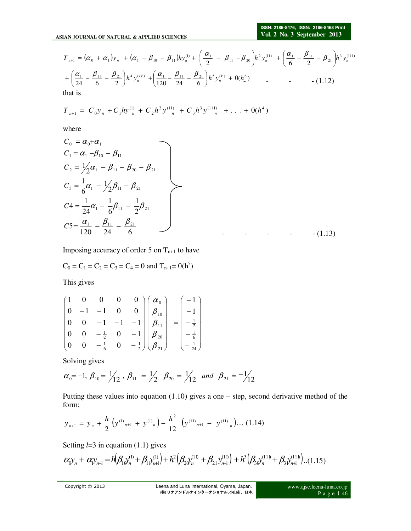$$
T_{n+1} = (\alpha_0 + \alpha_1)y_n + (\alpha_1 - \beta_{10} - \beta_{11})hy_n^{(1)} + \left(\frac{\alpha_1}{2} - \beta_{11} - \beta_{20}\right)h^2y_n^{(11)} + \left(\frac{\alpha_1}{6} - \frac{\beta_{11}}{2} - \beta_{21}\right)h^3y_n^{(111)} + \left(\frac{\alpha_1}{24} - \frac{\beta_{11}}{6} - \frac{\beta_{21}}{2}\right)h^4y_n^{(IV)} + \left(\frac{\alpha_1}{120} - \frac{\beta_{11}}{24} - \frac{\beta_{21}}{6}\right)h^5y_n^{(V)} + 0(h_2^6) \qquad \qquad - \qquad \qquad - (1.12)
$$

that is

$$
T_{n+1} = C_0 y_n + C_1 h y_n^{(1)} + C_2 h^2 y_n^{(1)} + C_3 h^3 y_n^{(11)} + \ldots + 0(h^4)
$$

where

$$
C_0 = \alpha_0 + \alpha_1
$$
  
\n
$$
C_1 = \alpha_1 - \beta_{10} - \beta_{11}
$$
  
\n
$$
C_2 = \frac{1}{2}\alpha_1 - \beta_{11} - \beta_{20} - \beta_{21}
$$
  
\n
$$
C_3 = \frac{1}{6}\alpha_1 - \frac{1}{2}\beta_{11} - \beta_{21}
$$
  
\n
$$
C_4 = \frac{1}{24}\alpha_1 - \frac{1}{6}\beta_{11} - \frac{1}{2}\beta_{21}
$$
  
\n
$$
C_5 = \frac{\alpha_1}{120} - \frac{\beta_{11}}{24} - \frac{\beta_{21}}{6}
$$
 (1.13)

Imposing accuracy of order 5 on  $T_{n+1}$  to have

$$
C_0 = C_1 = C_2 = C_3 = C_4 = 0
$$
 and  $T_{n+1} = 0(h^5)$ 

This gives

$$
\begin{pmatrix}\n1 & 0 & 0 & 0 & 0 \\
0 & -1 & -1 & 0 & 0 \\
0 & 0 & -1 & -1 & -1 \\
0 & 0 & -\frac{1}{2} & 0 & -1 \\
0 & 0 & -\frac{1}{6} & 0 & -\frac{1}{2}\n\end{pmatrix}\n\begin{pmatrix}\n\alpha_0 \\
\beta_{10} \\
\beta_{11} \\
\beta_{20} \\
\beta_{21}\n\end{pmatrix} =\n\begin{pmatrix}\n-1 \\
-1 \\
-\frac{1}{2} \\
-\frac{1}{6} \\
-\frac{1}{24}\n\end{pmatrix}
$$

Solving gives

$$
\alpha_0 = -1
$$
,  $\beta_{10} = \frac{1}{12}$ ,  $\beta_{11} = \frac{1}{2}$   $\beta_{20} = \frac{1}{12}$  and  $\beta_{21} = -\frac{1}{12}$ 

Putting these values into equation (1.10) gives a one – step, second derivative method of the form;

$$
y_{n+1} = y_n + \frac{h}{2} \left( y^{(1)}_{n+1} + y^{(1)}_{n} \right) - \frac{h^2}{12} \left( y^{(11)}_{n+1} - y^{(11)}_{n} \right) \dots (1.14)
$$

Setting *l*=3 in equation (1.1) gives

$$
\alpha_{\mathcal{Y}_n} + \alpha_{\mathcal{Y}_{n+1}} = h \Big( \beta_{1} \mathcal{Y}_{n}^{(1)} + \beta_{1} \mathcal{Y}_{n+1}^{(1)} \Big) + h^2 \Big( \beta_{2} \mathcal{Y}_{n}^{(11)} + \beta_{21} \mathcal{Y}_{n+1}^{(11)} \Big) + h^3 \Big( \beta_{3} \mathcal{Y}_{n}^{(11)} + \beta_{3} \mathcal{Y}_{n+1}^{(11)} \Big) \dots (1.15)
$$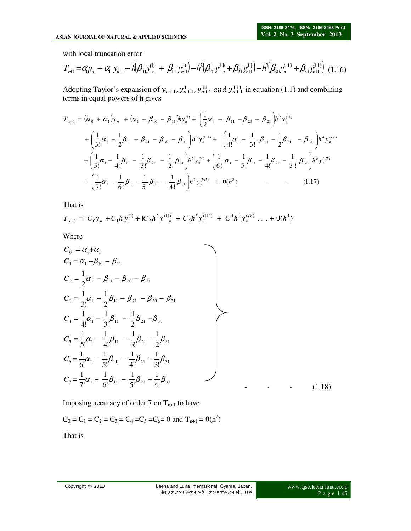with local truncation error

$$
T_{n+1} = \alpha_{\mathcal{Y}_n} + \alpha_{\mathcal{Y}_{n+1}} - h \left( \beta_{10} y_n^{(1)} + \beta_{11} y_{n+1}^{(1)} \right) - h^2 \left( \beta_{20} y_n^{(1)} + \beta_{21} y_{n+1}^{(1)} \right) - h^3 \left( \beta_{30} y_n^{(11)} + \beta_{31} y_{n+1}^{(11)} \right) \tag{1.16}
$$

Adopting Taylor's expansion of  $y_{n+1}$ ,  $y_{n+1}^1$ ,  $y_{n+1}^{11}$  and  $y_{n+1}^{111}$  in equation (1.1) and combining terms in equal powers of h gives

$$
T_{n+1} = (\alpha_0 + \alpha_1) y_n + (\alpha_1 - \beta_{10} - \beta_{11}) h y_n^{(1)} + \left(\frac{1}{2}\alpha_1 - \beta_{11} - \beta_{20} - \beta_{21}\right) h^2 y_n^{(1)}
$$
  
+  $\left(\frac{1}{3!}\alpha_1 - \frac{1}{2}\beta_{11} - \beta_{21} - \beta_{30} - \beta_{31}\right) h^3 y_n^{(11)} + \left(\frac{1}{4!}\alpha_1 - \frac{1}{3!}\beta_{11} - \frac{1}{2}\beta_{21} - \beta_{31}\right) h^4 y_n^{(IV)}$   
+  $\left(\frac{1}{5!}\alpha_1 - \frac{1}{4!}\beta_{11} - \frac{1}{3!}\beta_{21} - \frac{1}{2}\beta_{31}\right) h^5 y_n^{(V)} + \left(\frac{1}{6!}\alpha_1 - \frac{1}{5!}\beta_{11} - \frac{1}{4!}\beta_{21} - \frac{1}{3!}\beta_{31}\right) h^6 y_n^{(VI)}$   
+  $\left(\frac{1}{7!}\alpha_1 - \frac{1}{6!}\beta_{11} - \frac{1}{5!}\beta_{21} - \frac{1}{4!}\beta_{31}\right) h^7 y_n^{(VI)} + 0(h^8)$  - - (1.17)

That is

$$
T_{n+1} = C_0 y_n + C_1 h y_n^{(1)} + C_2 h^2 y_{n}^{(1)} + C_3 h^3 y_n^{(11)} + C^4 h^4 y_n^{(IV)} \dots + 0(h^5)
$$

Where

$$
C_0 = \alpha_0 + \alpha_1
$$
  
\n
$$
C_1 = \alpha_1 - \beta_{10} - \beta_{11}
$$
  
\n
$$
C_2 = \frac{1}{2}\alpha_1 - \beta_{11} - \beta_{20} - \beta_{21}
$$
  
\n
$$
C_3 = \frac{1}{3!}\alpha_1 - \frac{1}{2}\beta_{11} - \beta_{21} - \beta_{30} - \beta_{31}
$$
  
\n
$$
C_4 = \frac{1}{4!}\alpha_1 - \frac{1}{3!}\beta_{11} - \frac{1}{2}\beta_{21} - \beta_{31}
$$
  
\n
$$
C_5 = \frac{1}{5!}\alpha_1 - \frac{1}{4!}\beta_{11} - \frac{1}{3!}\beta_{21} - \frac{1}{2}\beta_{31}
$$
  
\n
$$
C_6 = \frac{1}{6!}\alpha_1 - \frac{1}{5!}\beta_{11} - \frac{1}{4!}\beta_{21} - \frac{1}{3!}\beta_{31}
$$
  
\n
$$
C_7 = \frac{1}{7!}\alpha_1 - \frac{1}{6!}\beta_{11} - \frac{1}{5!}\beta_{21} - \frac{1}{4!}\beta_{31}
$$
  
\n(1.18)

Imposing accuracy of order 7 on  $T_{n+1}$  to have

$$
C_0 = C_1 = C_2 = C_3 = C_4 = C_5 = C_6 = 0
$$
 and  $T_{n+1} = 0(h^7)$ 

That is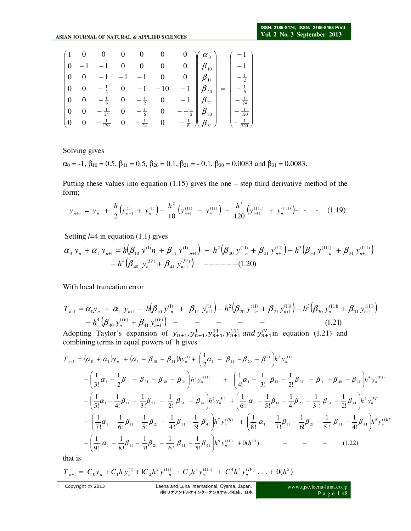|                                       |                          | $\begin{pmatrix} 1 & 0 & 0 & 0 & 0 & 0 \end{pmatrix}$                                                        |  |                                                        |                                                                | $0 \quad \gamma \alpha_0$          |     |                 |
|---------------------------------------|--------------------------|--------------------------------------------------------------------------------------------------------------|--|--------------------------------------------------------|----------------------------------------------------------------|------------------------------------|-----|-----------------|
|                                       |                          |                                                                                                              |  | $\begin{matrix} 0 & 0 & 0 \\ -1 & -1 & 0 \end{matrix}$ |                                                                | $0 \parallel \beta_{10}$           |     | $-1$            |
| $\vert 0$                             | $\overline{\mathbf{0}}$  | $-1$                                                                                                         |  |                                                        |                                                                | $0 \parallel \beta_{11} \parallel$ |     | $-\frac{1}{2}$  |
| $\vert 0$                             | $\overline{\phantom{0}}$ |                                                                                                              |  |                                                        | $-1$ $\beta_{20}$                                              |                                    | $=$ | $-\frac{1}{6}$  |
| $\begin{vmatrix} 0 & 0 \end{vmatrix}$ |                          | $\begin{array}{cccc} 1 & -\frac{1}{2} & 0 & -1 & -10 \\ 0 & -\frac{1}{6} & 0 & -\frac{1}{2} & 0 \end{array}$ |  |                                                        | $-1$ $\left \right $ $\beta_{21}$                              |                                    |     | $-\frac{1}{24}$ |
| $\vert 0$                             | $\overline{\phantom{0}}$ |                                                                                                              |  |                                                        | $-\frac{1}{24}$ 0 $-\frac{1}{6}$ 0 $-\frac{1}{2}$ $\beta_{30}$ |                                    |     | $\frac{1}{120}$ |
| $\binom{0}{0}$                        | $\overline{\phantom{0}}$ | $-\frac{1}{120}$ 0 $-\frac{1}{24}$ 0                                                                         |  |                                                        | $-\frac{1}{6}$ )                                               |                                    |     | $\frac{1}{720}$ |

Solving gives

 $\alpha_0 = -1$ ,  $\beta_{10} = 0.5$ ,  $\beta_{11} = 0.5$ ,  $\beta_{20} = 0.1$ ,  $\beta_{21} = -0.1$ ,  $\beta_{30} = 0.0083$  and  $\beta_{31} = 0.0083$ .

Putting these values into equation (1.15) gives the one – step third derivative method of the form;

$$
y_{n+1} = y_n + \frac{h}{2} \left( y_{n+1}^{(1)} + y_n^{(1)} \right) - \frac{h^2}{10} \left( y_{n+1}^{(11)} - y_n^{(11)} \right) + \frac{h^3}{120} \left( y_{n+1}^{(111)} + y_n^{(111)} \right) - \quad - \quad (1.19)
$$

Setting *l*=4 in equation (1.1) gives

( ) ( ) ( ) ( ) 20.1( ) ( ) 41 1 ( ) 40 4 (111) 31 1 (111) 30 11( ) 3 21 1 11( ) 20 2 1 )1( 11 )1( 0 1 1 10 − + − − − − − − + = + − + − + + + + + + *IV n IV n n n n n n n n h y y y y h y n y h y y h y y* β β <sup>α</sup> <sup>α</sup> β β β β β β

With local truncation error

( ) ( ) ( ) ( ) 21.1( ) ( ) 41 1 ( ) 40 4 (111) 31 1 (111) 30 11( ) 3 21 1 11( ) 20 )1( 2 11 1 )1( 1 0 1 1 10 − + − − − − − = + − + − + − + + + + + + + *IV n IV n n n n n n n n n n h y y T y y h y y h y y h y y* β β <sup>α</sup> <sup>α</sup> β β β β β β

Adopting Taylor's expansion of  $y_{n+1}, y_{n+1}^1, y_{n+1}^{11}, y_{n+1}^{111}$  and  $y_{n+1}^{\{V\}}$  in equation (1.21) and combining terms in equal powers of h gives

$$
T_{n+1} = (\alpha_0 + \alpha_1)y_n + (\alpha_1 - \beta_{10} - \beta_{11})hy_n^{(1)} + \left(\frac{1}{2}\alpha_1 - \beta_{11} - \beta_{20} - \beta^{21}\right)h^2y_n^{(11)}
$$
  
+  $\left(\frac{1}{3!}\alpha_1 - \frac{1}{2}\beta_{11} - \beta_{21} - \beta_{30} - \beta_{31}\right)h^3y_n^{(111)} + \left(\frac{1}{4!}\alpha_1 - \frac{1}{3!}\beta_{11} - \frac{1}{2!}\beta_{21} - \beta_{31} - \beta_{40} - \beta_{41}\right)h^4y_n^{(IV)*} + \left(\frac{1}{5!}\alpha_1 - \frac{1}{4!}\beta_{11} - \frac{1}{3!}\beta_{21} - \frac{1}{2!}\beta_{31} - \beta_{41}\right)h^5y_n^{(V)} + \left(\frac{1}{6!}\alpha_1 - \frac{1}{5!}\beta_{11} - \frac{1}{4!}\beta_{21} - \frac{1}{3!}\beta_{31} - \frac{1}{2!}\beta_{41}\right)h^6y_n^{(VI)} + \left(\frac{1}{7!}\alpha_1 - \frac{1}{6!}\beta_{11} - \frac{1}{5!}\beta_{21} - \frac{1}{4!}\beta_{31} - \frac{1}{3!}\beta_{41}\right)h^7y_n^{(VI)} + \left(\frac{1}{8!}\alpha_1 - \frac{1}{7!}\beta_{11} - \frac{1}{6!}\beta_{21} - \frac{1}{5!}\beta_{31} - \frac{1}{4!}\beta_{41}\right)h^8y_n^{(VIII)} + \left(\frac{1}{9!}\alpha_1 - \frac{1}{8!}\beta_{11} - \frac{1}{9!}\beta_{11} - \frac{1}{6!}\beta_{21} - \frac{1}{5!}\beta_{31} - \frac{1}{4!}\beta_{41}\right)h^8y_n^{(VIII)}$   
+  $\left(\frac{1}{9!}\alpha_1 - \frac{1}{8!}\beta_{11} - \frac{1}{7!}\beta_{21} - \frac{1}{6!}\beta_{31} - \frac{1}{5!}\beta_{41}\right)h^9y_n^{(IX)} + 0(h^{10})$  - - - (1.22)

that is

$$
T_{n+1} = C_0 y_n + C_1 h y_n^{(1)} + C_2 h^2 y_{n}^{(1)} + C_3 h^3 y_n^{(11)} + C^4 h^4 y_n^{(IV)} \dots + O(h^5)
$$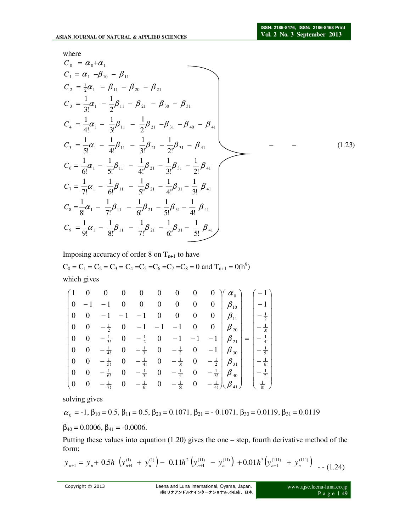where

$$
C_0 = \alpha_0 + \alpha_1
$$
  
\n
$$
C_1 = \alpha_1 - \beta_{10} - \beta_{11}
$$
  
\n
$$
C_2 = \frac{1}{2}\alpha_1 - \beta_{11} - \beta_{20} - \beta_{21}
$$
  
\n
$$
C_3 = \frac{1}{3!}\alpha_1 - \frac{1}{2}\beta_{11} - \beta_{21} - \beta_{30} - \beta_{31}
$$
  
\n
$$
C_4 = \frac{1}{4!}\alpha_1 - \frac{1}{3!}\beta_{11} - \frac{1}{2}\beta_{21} - \beta_{31} - \beta_{40} - \beta_{41}
$$
  
\n
$$
C_5 = \frac{1}{5!}\alpha_1 - \frac{1}{4!}\beta_{11} - \frac{1}{3!}\beta_{21} - \frac{1}{2!}\beta_{31} - \beta_{41}
$$
  
\n
$$
C_6 = \frac{1}{6!}\alpha_1 - \frac{1}{5!}\beta_{11} - \frac{1}{4!}\beta_{21} - \frac{1}{3!}\beta_{31} - \frac{1}{2!}\beta_{41}
$$
  
\n
$$
C_7 = \frac{1}{7!}\alpha_1 - \frac{1}{6!}\beta_{11} - \frac{1}{5!}\beta_{21} - \frac{1}{4!}\beta_{31} - \frac{1}{3!}\beta_{41}
$$
  
\n
$$
C_8 = \frac{1}{8!}\alpha_1 - \frac{1}{7!}\beta_{11} - \frac{1}{6!}\beta_{21} - \frac{1}{5!}\beta_{31} - \frac{1}{4!}\beta_{41}
$$
  
\n
$$
C_9 = \frac{1}{9!}\alpha_1 - \frac{1}{8!}\beta_{11} - \frac{1}{7!}\beta_{21} - \frac{1}{6!}\beta_{31} - \frac{1}{5!}\beta_{41}
$$

Imposing accuracy of order 8 on  $T_{n+1}$  to have

 $C_0 = C_1 = C_2 = C_3 = C_4 = C_5 = C_6 = C_7 = C_8 = 0$  and  $T_{n+1} = 0(h^9)$ which gives

| (1)             |  |  | $0$ 0 0 0 0 0 0 |  | $0 \rangle \mid \alpha_{0} \rangle$                                                                                                                                                                                                                                                |                  |
|-----------------|--|--|-----------------|--|------------------------------------------------------------------------------------------------------------------------------------------------------------------------------------------------------------------------------------------------------------------------------------|------------------|
| $\vert 0$       |  |  |                 |  | $-1$ 0 0 0 0 0 0 $\beta_{10}$                                                                                                                                                                                                                                                      | $\vert -1 \vert$ |
| $\vert 0 \vert$ |  |  |                 |  |                                                                                                                                                                                                                                                                                    |                  |
| $\mid 0$        |  |  |                 |  |                                                                                                                                                                                                                                                                                    |                  |
| $\mid 0$        |  |  |                 |  |                                                                                                                                                                                                                                                                                    |                  |
| $\vert 0 \vert$ |  |  |                 |  |                                                                                                                                                                                                                                                                                    |                  |
| $\mid 0$        |  |  |                 |  |                                                                                                                                                                                                                                                                                    |                  |
| $\overline{0}$  |  |  |                 |  |                                                                                                                                                                                                                                                                                    |                  |
| $\sqrt{0}$      |  |  |                 |  | (a) $0$ $-1$ $-1$ $-1$ 0 0 0 0 $\beta_{11}$<br>(b) $0$ $-\frac{1}{2}$ 0 $-1$ $-1$ $-1$ 0 0 $\beta_{20}$<br>(b) $0$ $-\frac{1}{3!}$ 0 $-\frac{1}{2}$ 0 $-1$ $-1$ $-1$ $\beta_{21}$<br>(c) $\beta_{11}$<br>(c) $\beta_{20}$<br>(c) $-\frac{1}{3!}$ 0 $-\frac{1}{2}$ 0 $-1$ $-1$ $-1$ |                  |

solving gives

$$
\alpha_{_0} = -1, \beta_{10} = 0.5, \beta_{11} = 0.5, \beta_{20} = 0.1071, \beta_{21} = -0.1071, \beta_{30} = 0.0119, \beta_{31} = 0.0119
$$

 $\beta_{40} = 0.0006$ ,  $\beta_{41} = -0.0006$ .

Putting these values into equation (1.20) gives the one – step, fourth derivative method of the form;

$$
y_{n+1} = y_n + 0.5h \left( y_{n+1}^{(1)} + y_n^{(1)} \right) - 0.11h^2 \left( y_{n+1}^{(11)} - y_n^{(11)} \right) + 0.01h^3 \left( y_{n+1}^{(111)} + y_n^{(111)} \right) \tag{1.24}
$$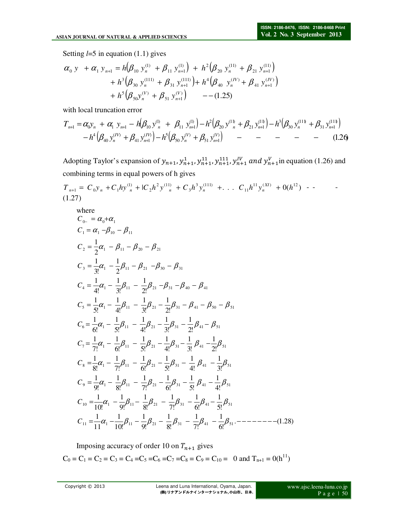Setting *l*=5 in equation (1.1) gives

$$
\alpha_0 \ y \ + \alpha_1 \ y_{n+1} = h \Big( \beta_{10} \ y_n^{(1)} + \beta_{11} \ y_{n+1}^{(1)} \Big) + h^2 \Big( \beta_{20} \ y_n^{(11)} + \beta_{21} \ y_{n+1}^{(11)} \Big) + h^3 \Big( \beta_{30} \ y_n^{(111)} + \beta_{31} \ y_{n+1}^{(111)} \Big) + h^4 \Big( \beta_{40} \ y_n^{(IV)} + \beta_{41} \ y_{n+1}^{(IV)} \Big) + h^5 \Big( \beta_{50} y_n^{(V)} + \beta_{51} \ y_{n+1}^{(V)} \Big) \ - (1.25)
$$

with local truncation error

$$
T_{n+1} = \alpha_{0} y_{n} + \alpha_{1} y_{n+1} - h \left( \beta_{10} y_{n}^{(1)} + \beta_{11} y_{n+1}^{(1)} \right) - h^{2} \left( \beta_{20} y_{n}^{(1)} + \beta_{21} y_{n+1}^{(1)} \right) - h^{3} \left( \beta_{30} y_{n}^{(11)} + \beta_{31} y_{n+1}^{(11)} \right) - h^{4} \left( \beta_{40} y_{n}^{(IV)} + \beta_{41} y_{n+1}^{(IV)} \right) - h^{5} \left( \beta_{50} y_{n}^{(V)} + \beta_{51} y_{n+1}^{(V)} \right) - \cdots - \cdots - \qquad (1.26)
$$

Adopting Taylor's expansion of  $y_{n+1}$ ,  $y_{n+1}^{11}$ ,  $y_{n+1}^{11}$ ,  $y_{n+1}^{11}$ ,  $y_{n+1}^{IV}$  and  $y_{n+1}^{V}$  in equation (1.26) and combining terms in equal powers of h gives

$$
T_{n+1} = C_0 y_n + C_1 h y_n^{(1)} + l C_2 h^2 y_n^{(11)} + C_3 h^3 y_n^{(111)} + \dots + C_{11} h^{11} y_n^{(XI)} + 0(h^{12}) - \dots
$$
  
(1.27)

where  
\n
$$
C_{0-} = \alpha_0 + \alpha_1
$$
  
\n $C_1 = \alpha_1 - \beta_{10} - \beta_{11}$   
\n $C_2 = \frac{1}{2}\alpha_1 - \beta_{11} - \beta_{20} - \beta_{21}$   
\n $C_3 = \frac{1}{3!}\alpha_1 - \frac{1}{2}\beta_{11} - \beta_{21} - \beta_{30} - \beta_{31}$   
\n $C_4 = \frac{1}{4!}\alpha_1 - \frac{1}{3!}\beta_{11} - \frac{1}{2!}\beta_{21} - \beta_{31} - \beta_{40} - \beta_{41}$   
\n $C_5 = \frac{1}{5!}\alpha_1 - \frac{1}{4!}\beta_{11} - \frac{1}{3!}\beta_{21} - \frac{1}{2!}\beta_{31} - \beta_{41} - \beta_{50} - \beta_{51}$   
\n $C_6 = \frac{1}{6!}\alpha_1 - \frac{1}{5!}\beta_{11} - \frac{1}{4!}\beta_{21} - \frac{1}{3!}\beta_{31} - \frac{1}{2!}\beta_{41} - \beta_{51}$   
\n $C_7 = \frac{1}{7!}\alpha_1 - \frac{1}{6!}\beta_{11} - \frac{1}{5!}\beta_{21} - \frac{1}{4!}\beta_{31} - \frac{1}{3!}\beta_{41} - \frac{1}{2!}\beta_{51}$   
\n $C_8 = \frac{1}{8!}\alpha_1 - \frac{1}{7!}\beta_{11} - \frac{1}{6!}\beta_{21} - \frac{1}{3!}\beta_{31} - \frac{1}{3!}\beta_{41} - \frac{1}{2!}\beta_{51}$   
\n $C_9 = \frac{1}{9!}\alpha_1 - \frac{1}{8!}\beta_{11} - \frac{1}{7!}\beta_{21} - \frac{1}{6!}\beta_{31} - \frac{1}{3!}\beta_{41} - \frac{1}{3!}\beta_{51}$   
\n $C_{10} = \frac{1}{10!}\alpha_1 - \frac{1}{9!}\beta_{11} - \frac{1}{8!}\beta_{21} - \frac{1}{1!}\beta_{31} - \frac{1}{5!}\beta_{41} - \frac{1}{4!}\beta_{51}$   
\

Imposing accuracy of order 10 on  $T_{n+1}$  gives  $C_0 = C_1 = C_2 = C_3 = C_4 = C_5 = C_6 = C_7 = C_8 = C_9 = C_{10} = 0$  and  $T_{n+1} = 0(h^{11})$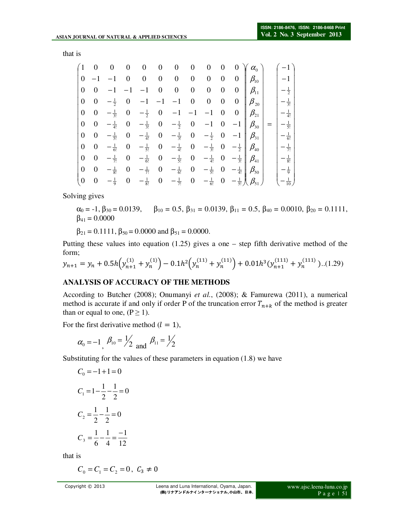that is

| (1)                |                  |                 |                  |                  | $\boldsymbol{0}$ | $\boldsymbol{0}$ | $\boldsymbol{0}$ | $\boldsymbol{0}$ | 0                | $\overline{0}$                   | $\alpha_{0}$                       |                   |
|--------------------|------------------|-----------------|------------------|------------------|------------------|------------------|------------------|------------------|------------------|----------------------------------|------------------------------------|-------------------|
| $\boldsymbol{0}$   | $-1$             | $^{-1}$         | 0                | $\boldsymbol{0}$ | $\boldsymbol{0}$ | $\boldsymbol{0}$ | $\boldsymbol{0}$ | $\boldsymbol{0}$ | $\boldsymbol{0}$ | $\overline{0}$                   | $\beta_{\scriptscriptstyle 10}$    | $-1$              |
| $\mathbf{0}$       | $\boldsymbol{0}$ |                 |                  |                  | $\boldsymbol{0}$ | 0                | 0                | $\boldsymbol{0}$ | $\boldsymbol{0}$ | $\boldsymbol{0}$                 | $\beta_{\scriptscriptstyle 11}^-$  | $-\frac{1}{2}$    |
| $\boldsymbol{0}$   | $\theta$         | $-\frac{1}{2}$  | $\theta$         | $-1$             | $-1$             | $-1$             | $\boldsymbol{0}$ | $\boldsymbol{0}$ | $\boldsymbol{0}$ |                                  | $0 \parallel \beta_{20} \parallel$ | $\frac{1}{3!}$    |
| $\boldsymbol{0}$   | $\theta$         | $-\frac{1}{3!}$ | $\boldsymbol{0}$ | $-\frac{1}{2}$   | $\boldsymbol{0}$ | $-1$             | $-1$             | $-1$             |                  | $0 \quad 0 \parallel \beta_{21}$ |                                    | $\frac{1}{4!}$    |
| $\boldsymbol{0}$   | $\boldsymbol{0}$ | $-\frac{1}{4!}$ | $\boldsymbol{0}$ | $-\frac{1}{3!}$  | $\boldsymbol{0}$ | $-\frac{1}{2}$   | $\boldsymbol{0}$ |                  | $\boldsymbol{0}$ | $-1$                             | $\beta_{\scriptscriptstyle 30}$    | $\frac{1}{5!}$    |
| $\boldsymbol{0}$   | $\boldsymbol{0}$ | $-\frac{1}{5!}$ | $\boldsymbol{0}$ | $-\frac{1}{4!}$  | $\boldsymbol{0}$ | $-\frac{1}{3!}$  | $\boldsymbol{0}$ | $-\frac{1}{2}$   | $\boldsymbol{0}$ |                                  | $-1$ $\beta_{31}$                  | $-\frac{1}{6!}$   |
| $\boldsymbol{0}$   | $\boldsymbol{0}$ | $-\frac{1}{6!}$ | $\boldsymbol{0}$ | $-\frac{1}{5!}$  | $\boldsymbol{0}$ | $-\frac{1}{4!}$  | $\boldsymbol{0}$ | $-\frac{1}{3!}$  | $\theta$         |                                  | $-\frac{1}{2}$ $\beta_{40}$        | $\frac{1}{7!}$    |
| $\boldsymbol{0}$   | $\theta$         | $-\frac{1}{7!}$ | 0                | $-\frac{1}{6!}$  | 0                | $-\frac{1}{5!}$  | 0                | $-\frac{1}{4!}$  | $\theta$         | $-\frac{1}{3!}\parallel$         | $\beta_{41}$                       | $-\frac{1}{8!}$   |
| $\boldsymbol{0}$   | $\theta$         | $-\frac{1}{8!}$ | $\theta$         | $-\frac{1}{7!}$  | $\boldsymbol{0}$ | $-\frac{1}{6!}$  | 0                | $-\frac{1}{5!}$  | $\theta$         | $-\frac{1}{4!}$ )                | $\mathcal{B}_{50}$                 | $-\frac{1}{9}$    |
| $\left( 0 \right)$ | $\boldsymbol{0}$ | $-\frac{1}{9}$  | $\boldsymbol{0}$ | $-\frac{1}{8!}$  | $\boldsymbol{0}$ | $-\frac{1}{7!}$  | $\boldsymbol{0}$ | $-\frac{1}{6!}$  | $\boldsymbol{0}$ |                                  | $-\frac{1}{5!}\bigcup \beta_{51}$  | $-\frac{1}{10}$ ) |

Solving gives

 $\alpha_0 = -1$ ,  $\beta_{30} = 0.0139$ ,  $\beta_{10} = 0.5$ ,  $\beta_{31} = 0.0139$ ,  $\beta_{11} = 0.5$ ,  $\beta_{40} = 0.0010$ ,  $\beta_{20} = 0.1111$ ,  $\beta_{41} = 0.0000$ 

 $\beta_{21} = 0.1111$ ,  $\beta_{50} = 0.0000$  and  $\beta_{51} = 0.0000$ .

Putting these values into equation (1.25) gives a one – step fifth derivative method of the form;

$$
y_{n+1} = y_n + 0.5h(y_{n+1}^{(1)} + y_n^{(1)}) - 0.1h^2(y_n^{(11)} + y_n^{(11)}) + 0.01h^3(y_{n+1}^{(111)} + y_n^{(111)})...(1.29)
$$

#### **ANALYSIS OF ACCURACY OF THE METHODS**

According to Butcher (2008); Onumanyi *et al.*, (2008); & Famurewa (2011), a numerical method is accurate if and only if order P of the truncation error  $T_{n+k}$  of the method is greater than or equal to one,  $(P \ge 1)$ .

For the first derivative method  $(l = 1)$ ,

$$
\alpha_0 = -1
$$
,  $\beta_{10} = \frac{1}{2}$  and  $\beta_{11} = \frac{1}{2}$ 

Substituting for the values of these parameters in equation (1.8) we have

$$
C_0 = -1 + 1 = 0
$$
  
\n
$$
C_1 = 1 - \frac{1}{2} - \frac{1}{2} = 0
$$
  
\n
$$
C_2 = \frac{1}{2} - \frac{1}{2} = 0
$$
  
\n
$$
C_3 = \frac{1}{6} - \frac{1}{4} = \frac{-1}{12}
$$

that is

$$
C_0 = C_1 = C_2 = 0, \ C_3 \neq 0
$$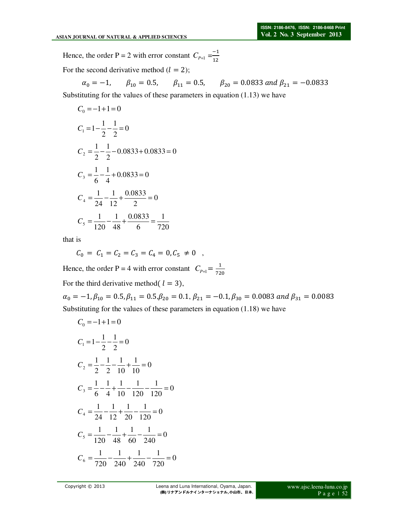Hence, the order P = 2 with error constant  $C_{P+1} = \frac{-1}{12}$ 

For the second derivative method  $(l = 2)$ ;

$$
\alpha_0 = -1,
$$
\n $\beta_{10} = 0.5,$ \n $\beta_{11} = 0.5,$ \n $\beta_{20} = 0.0833$  and  $\beta_{21} = -0.0833$ 

Substituting for the values of these parameters in equation (1.13) we have

$$
C_0 = -1 + 1 = 0
$$
  
\n
$$
C_1 = 1 - \frac{1}{2} - \frac{1}{2} = 0
$$
  
\n
$$
C_2 = \frac{1}{2} - \frac{1}{2} - 0.0833 + 0.0833 = 0
$$
  
\n
$$
C_3 = \frac{1}{6} - \frac{1}{4} + 0.0833 = 0
$$
  
\n
$$
C_4 = \frac{1}{24} - \frac{1}{12} + \frac{0.0833}{2} = 0
$$
  
\n
$$
C_5 = \frac{1}{120} - \frac{1}{48} + \frac{0.0833}{6} = \frac{1}{720}
$$

that is

$$
C_0 = C_1 = C_2 = C_3 = C_4 = 0, C_5 \neq 0 ,
$$

Hence, the order P = 4 with error constant  $C_{P+1} = \frac{1}{72}$ For the third derivative method( $l = 3$ ),

 $\alpha_0 = -1, \beta_{10} = 0.5, \beta_{11} = 0.5, \beta_{20} = 0.1, \beta_{21} = -0.1, \beta_{30} = 0.0083$  and  $\beta_{31} = 0.0083$ Substituting for the values of these parameters in equation (1.18) we have

$$
C_0 = -1 + 1 = 0
$$
  
\n
$$
C_1 = 1 - \frac{1}{2} - \frac{1}{2} = 0
$$
  
\n
$$
C_2 = \frac{1}{2} - \frac{1}{2} - \frac{1}{10} + \frac{1}{10} = 0
$$
  
\n
$$
C_3 = \frac{1}{6} - \frac{1}{4} + \frac{1}{10} - \frac{1}{120} - \frac{1}{120} = 0
$$
  
\n
$$
C_4 = \frac{1}{24} - \frac{1}{12} + \frac{1}{20} - \frac{1}{120} = 0
$$
  
\n
$$
C_5 = \frac{1}{120} - \frac{1}{48} + \frac{1}{60} - \frac{1}{240} = 0
$$
  
\n
$$
C_6 = \frac{1}{720} - \frac{1}{240} + \frac{1}{240} - \frac{1}{720} = 0
$$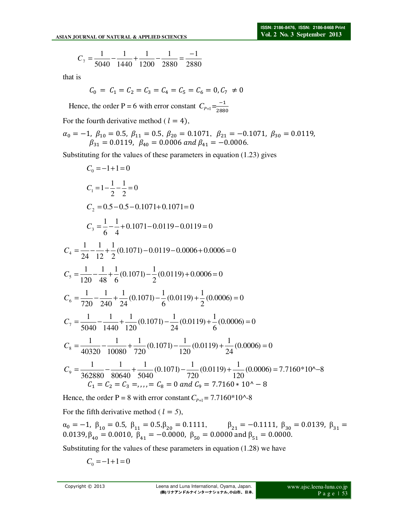$$
C_7 = \frac{1}{5040} - \frac{1}{1440} + \frac{1}{1200} - \frac{1}{2880} = \frac{-1}{2880}
$$

that is

$$
C_0 = C_1 = C_2 = C_3 = C_4 = C_5 = C_6 = 0, C_7 \neq 0
$$

Hence, the order P = 6 with error constant  $C_{P+1} = \frac{-1}{288}$ 2880

For the fourth derivative method ( $l = 4$ ),

 $\alpha_0 = -1, \ \beta_{10} = 0.5, \ \beta_{11} = 0.5, \ \beta_{20} = 0.1071, \ \beta_{21} = -0.1071, \ \beta_{30} = 0.0119,$  $\beta_{31} = 0.0119$ ,  $\beta_{40} = 0.0006$  and  $\beta_{41} = -0.0006$ .

Substituting for the values of these parameters in equation (1.23) gives

$$
C_0 = -1 + 1 = 0
$$
  
\n
$$
C_1 = 1 - \frac{1}{2} - \frac{1}{2} = 0
$$
  
\n
$$
C_2 = 0.5 - 0.5 - 0.1071 + 0.1071 = 0
$$
  
\n
$$
C_3 = \frac{1}{6} - \frac{1}{4} + 0.1071 - 0.0119 - 0.0119 = 0
$$
  
\n
$$
C_4 = \frac{1}{24} - \frac{1}{12} + \frac{1}{2} (0.1071) - 0.0119 - 0.0006 + 0.0006 = 0
$$
  
\n
$$
C_5 = \frac{1}{120} - \frac{1}{48} + \frac{1}{6} (0.1071) - \frac{1}{2} (0.0119) + 0.0006 = 0
$$
  
\n
$$
C_6 = \frac{1}{720} - \frac{1}{240} + \frac{1}{24} (0.1071) - \frac{1}{6} (0.0119) + \frac{1}{2} (0.0006) = 0
$$
  
\n
$$
C_7 = \frac{1}{5040} - \frac{1}{1440} + \frac{1}{120} (0.1071) - \frac{1}{24} (0.0119) + \frac{1}{6} (0.0006) = 0
$$
  
\n
$$
C_8 = \frac{1}{40320} - \frac{1}{10080} + \frac{1}{720} (0.1071) - \frac{1}{120} (0.0119) + \frac{1}{24} (0.0006) = 0
$$
  
\n
$$
C_9 = \frac{1}{362880} - \frac{1}{80640} + \frac{1}{5040} (0.1071) - \frac{1}{720} (0.0119) + \frac{1}{120} (0.0006) = 7.7160 * 10^\circ - 8
$$
  
\n
$$
C_1 = C_2 = C_3 = \dots = C_8 = 0 \text{ and } C_9 = 7.7160 * 10^\circ - 8
$$

Hence, the order P = 8 with error constant  $C_{P+1}$  = 7.7160\*10^-8

For the fifth derivative method ( $l = 5$ ),

 $\alpha_0 = -1, \ \beta_{10} = 0.5, \ \beta_{11} = 0.5, \beta_{20} = 0.1111, \qquad \beta_{21} = -0.1111, \ \beta_{30} = 0.0139, \ \beta_{31} = 0.0139$  $0.0139, β_{40} = 0.0010, β_{41} = -0.0000, β_{50} = 0.0000$  and  $β_{51} = 0.0000$ .

Substituting for the values of these parameters in equation (1.28) we have

$$
C_0 = -1 + 1 = 0
$$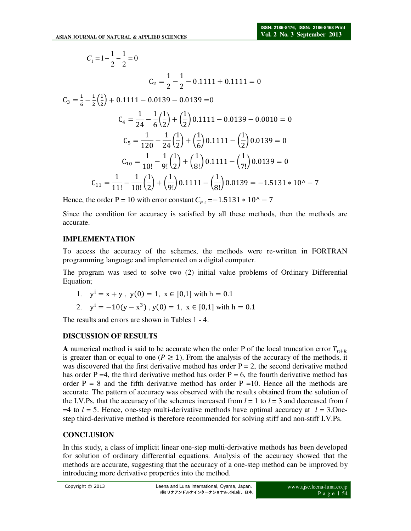$$
C_1 = 1 - \frac{1}{2} - \frac{1}{2} = 0
$$
  
\n
$$
C_2 = \frac{1}{2} - \frac{1}{2} - \frac{1}{2} - \frac{1}{2} = 0
$$
  
\n
$$
C_3 = \frac{1}{6} - \frac{1}{2}(\frac{1}{2}) + 0.1111 - 0.0139 - 0.0139 = 0
$$
  
\n
$$
C_4 = \frac{1}{24} - \frac{1}{6}(\frac{1}{2}) + (\frac{1}{2})0.1111 - 0.0139 - 0.0010 = 0
$$
  
\n
$$
C_5 = \frac{1}{120} - \frac{1}{24}(\frac{1}{2}) + (\frac{1}{6})0.1111 - (\frac{1}{2})0.0139 = 0
$$
  
\n
$$
C_{10} = \frac{1}{10!} - \frac{1}{9!}(\frac{1}{2}) + (\frac{1}{8!})0.1111 - (\frac{1}{7!})0.0139 = 0
$$
  
\n
$$
C_{11} = \frac{1}{11!} - \frac{1}{10!}(\frac{1}{2}) + (\frac{1}{9!})0.1111 - (\frac{1}{8!})0.0139 = -1.5131 \times 10^2 - 7
$$

Hence, the order P = 10 with error constant  $C_{p+1}$ =−1.5131  $*$  10^ − 7

Since the condition for accuracy is satisfied by all these methods, then the methods are accurate.

#### **IMPLEMENTATION**

To access the accuracy of the schemes, the methods were re-written in FORTRAN programming language and implemented on a digital computer.

The program was used to solve two (2) initial value problems of Ordinary Differential Equation;

- 1.  $y' = x + y$ ,  $y(0) = 1$ ,  $x \in [0,1]$  with  $h = 0.1$
- 2.  $y' = -10(y x^3)$ ,  $y(0) = 1$ ,  $x \in [0,1]$  with  $h = 0.1$

The results and errors are shown in Tables 1 - 4.

#### **DISCUSSION OF RESULTS**

**A** numerical method is said to be accurate when the order P of the local truncation error  $T_{n+k}$ is greater than or equal to one ( $P \ge 1$ ). From the analysis of the accuracy of the methods, it was discovered that the first derivative method has order  $P = 2$ , the second derivative method has order P = 4, the third derivative method has order P = 6, the fourth derivative method has order  $P = 8$  and the fifth derivative method has order  $P = 10$ . Hence all the methods are accurate. The pattern of accuracy was observed with the results obtained from the solution of the I.V.Ps, that the accuracy of the schemes increased from  $l = 1$  to  $l = 3$  and decreased from *l*  $=4$  to  $l = 5$ . Hence, one-step multi-derivative methods have optimal accuracy at  $l = 3$ . Onestep third-derivative method is therefore recommended for solving stiff and non-stiff I.V.Ps.

#### **CONCLUSION**

In this study, a class of implicit linear one-step multi-derivative methods has been developed for solution of ordinary differential equations. Analysis of the accuracy showed that the methods are accurate, suggesting that the accuracy of a one-step method can be improved by introducing more derivative properties into the method.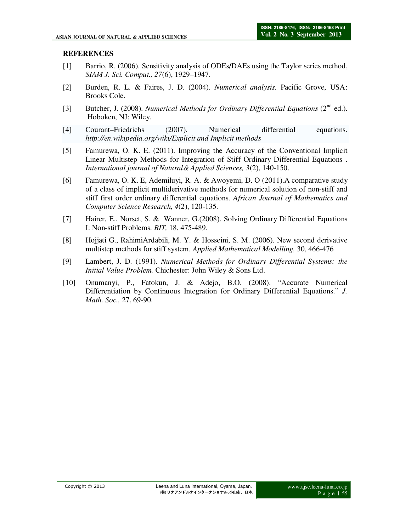#### **REFERENCES**

- [1] Barrio, R. (2006). Sensitivity analysis of ODEs**/**DAEs using the Taylor series method, *SIAM J. Sci. Comput., 27*(6), 1929–1947.
- [2] Burden, R. L. & Faires, J. D. (2004). *Numerical analysis.* Pacific Grove, USA: Brooks Cole.
- [3] Butcher, J. (2008). *Numerical Methods for Ordinary Differential Equations* (2<sup>nd</sup> ed.). Hoboken, NJ: Wiley.
- [4] Courant–Friedrichs (2007). Numerical differential equations. *http://en.wikipedia.org/wiki/Explicit and Implicit methods*
- [5] Famurewa, O. K. E. (2011). Improving the Accuracy of the Conventional Implicit Linear Multistep Methods for Integration of Stiff Ordinary Differential Equations . *International journal of Natural& Applied Sciences, 3*(2), 140-150.
- [6] Famurewa, O. K. E, Ademiluyi, R. A. & Awoyemi, D. O (2011).A comparative study of a class of implicit multiderivative methods for numerical solution of non-stiff and stiff first order ordinary differential equations. *African Journal of Mathematics and Computer Science Research, 4*(2), 120-135.
- [7] Hairer, E., Norset, S. & Wanner, G.(2008). Solving Ordinary Differential Equations I: Non-stiff Problems. *BIT,* 18, 475-489.
- [8] Hojjati G., RahimiArdabili, M. Y. & Hosseini, S. M. (2006). New second derivative multistep methods for stiff system. *Applied Mathematical Modelling,* 30, 466-476
- [9] Lambert, J. D. (1991). *Numerical Methods for Ordinary Differential Systems: the Initial Value Problem.* Chichester: John Wiley & Sons Ltd.
- [10] Onumanyi, P., Fatokun, J. & Adejo, B.O. (2008). "Accurate Numerical Differentiation by Continuous Integration for Ordinary Differential Equations." *J. Math. Soc.,* 27, 69-90.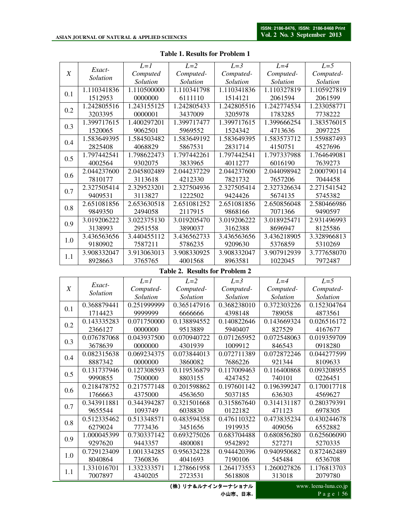|     |             | $L=1$       | $L=2$       | $L=3$       | $L=4$       | $L=5$       |
|-----|-------------|-------------|-------------|-------------|-------------|-------------|
| X   | Exact-      | Computed    | Computed-   | Computed-   | Computed-   | Computed-   |
|     | Solution    | Solution    | Solution    | Solution    | Solution    | Solution    |
|     | 1.110341836 | 1.110500000 | 1.110341798 | 1.110341836 | 1.110327819 | 1.105927819 |
| 0.1 | 1512953     | 0000000     | 6111110     | 1514121     | 2061594     | 2061599     |
| 0.2 | 1.242805516 | 1.243155125 | 1.242805433 | 1.242805516 | 1.242774534 | 1.233058771 |
|     | 3203395     | 0000001     | 3437009     | 3205978     | 1783285     | 7738222     |
| 0.3 | 1.399717615 | 1.400297201 | 1.399717477 | 1.399717615 | 1.399666254 | 1.383576015 |
|     | 1520065     | 9062501     | 5969552     | 1524342     | 4713636     | 2097225     |
| 0.4 | 1.583649395 | 1.584503482 | 1.583649192 | 1.583649395 | 1.583573712 | 1.559887493 |
|     | 2825408     | 4068829     | 5867531     | 2831714     | 4150751     | 4527696     |
| 0.5 | 1.797442541 | 1.798622473 | 1.797442261 | 1.797442541 | 1.797337988 | 1.764649081 |
|     | 4002564     | 9302075     | 3833965     | 4011277     | 6016190     | 7639273     |
| 0.6 | 2.044237600 | 2.045802489 | 2.044237229 | 2.044237600 | 2.044098942 | 2.000790114 |
|     | 7810177     | 3113618     | 4212330     | 7821732     | 7657206     | 7044458     |
| 0.7 | 2.327505414 | 2.329523201 | 2.327504936 | 2.327505414 | 2.327326634 | 2.271541542 |
|     | 9409531     | 3113827     | 1222502     | 9424426     | 5674135     | 5745382     |
| 0.8 | 2.651081856 | 2.653630518 | 2.651081252 | 2.651081856 | 2.650856048 | 2.580466986 |
|     | 9849350     | 2494058     | 2117915     | 9868166     | 7071366     | 9490597     |
| 0.9 | 3.019206222 | 3.022375130 | 3.019205470 | 3.019206222 | 3.018925471 | 2.931496993 |
|     | 3138993     | 2951558     | 3890037     | 3162388     | 8696947     | 8125586     |
| 1.0 | 3.436563656 | 3.440455112 | 3.436562733 | 3.436563656 | 3.436218905 | 3.328966813 |
|     | 9180902     | 7587211     | 5786235     | 9209630     | 5376859     | 5310269     |
| 1.1 | 3.908332047 | 3.913063013 | 3.908330925 | 3.908332047 | 3.907912939 | 3.777658070 |
|     | 8928663     | 3765765     | 4001568     | 8963581     | 1022045     | 7972487     |

#### **Table 1. Results for Problem 1**

#### **Table 2. Results for Problem 2**

|     | Exact-      | $L=1$       | $L=2$              | $L=3$       | $L=4$                | $L=5$       |  |
|-----|-------------|-------------|--------------------|-------------|----------------------|-------------|--|
| X   | Solution    | Computed-   | Computed-          | Computed-   | Computed-            | Computed-   |  |
|     |             | Solution    | Solution           | Solution    | Solution             | Solution    |  |
| 0.1 | 0.368879441 | 0.251999999 | 0.365147916        | 0.368238010 | 0.372303226          | 0.152304764 |  |
|     | 1714423     | 9999999     | 6666666            | 4398148     | 789058               | 4873561     |  |
| 0.2 | 0.143335283 | 0.071750000 | 0.138894552        | 0.140822646 | 0.143669324          | 0.026516172 |  |
|     | 2366127     | 0000000     | 9513889            | 5940407     | 827529               | 4167677     |  |
| 0.3 | 0.076787068 | 0.043937500 | 0.070940722        | 0.071265952 | 0.072548063          | 0.019359709 |  |
|     | 3678639     | 0000000     | 4301939            | 1009912     | 846543               | 0918280     |  |
| 0.4 | 0.082315638 | 0.069234375 | 0.073844013        | 0.072711389 | 0.072872246          | 0.044277599 |  |
|     | 8887342     | 0000000     | 3860082            | 7686226     | 921344               | 8109633     |  |
| 0.5 | 0.131737946 | 0.127308593 | 0.119536879        | 0.117009463 | 0.116400868          | 0.093208955 |  |
|     | 9990855     | 7500000     | 8803155            | 4247452     | 740101               | 0226451     |  |
| 0.6 | 0.218478752 | 0.217577148 | 0.201598862        | 0.197601142 | 0.196399247          | 0.170017718 |  |
|     | 1766663     | 4375000     | 4563650            | 5037185     | 636303               | 4569627     |  |
| 0.7 | 0.343911881 | 0.344394287 | 0.321501668        | 0.315867640 | 0.314131187          | 0.280379391 |  |
|     | 9655544     | 1093749     | 6038830            | 0122182     | 471123               | 6978305     |  |
| 0.8 | 0.512335462 | 0.513348571 | 0.483594358        | 0.476110322 | 0.473835234          | 0.430244678 |  |
|     | 6279024     | 7773436     | 3451656            | 1919935     | 409056               | 6552882     |  |
| 0.9 | 1.000045399 | 0.730337142 | 0.693275026        | 0.683704488 | 0.680856280          | 0.625606090 |  |
|     | 9297620     | 9443357     | 4800081            | 9542892     | 527271               | 5270335     |  |
| 1.0 | 0.729123409 | 1.001334285 | 0.956324228        | 0.944420396 | 0.940950682          | 0.872462489 |  |
|     | 8040864     | 7360836     | 4041693            | 7190106     | 545484               | 6536708     |  |
| 1.1 | 1.331016701 | 1.332333571 | 1.278661958        | 1.264173553 | 1.260027826          | 1.176813703 |  |
|     | 7007897     | 4340205     | 2723531            | 5618808     | 313018               | 2079780     |  |
|     |             |             | (株) リナ&ルナインターナショナル |             | www.leena-luna.co.jp |             |  |

**(**株**)** リナ&ルナインターナショナル 小山市、日本**.**

P a g e | 56